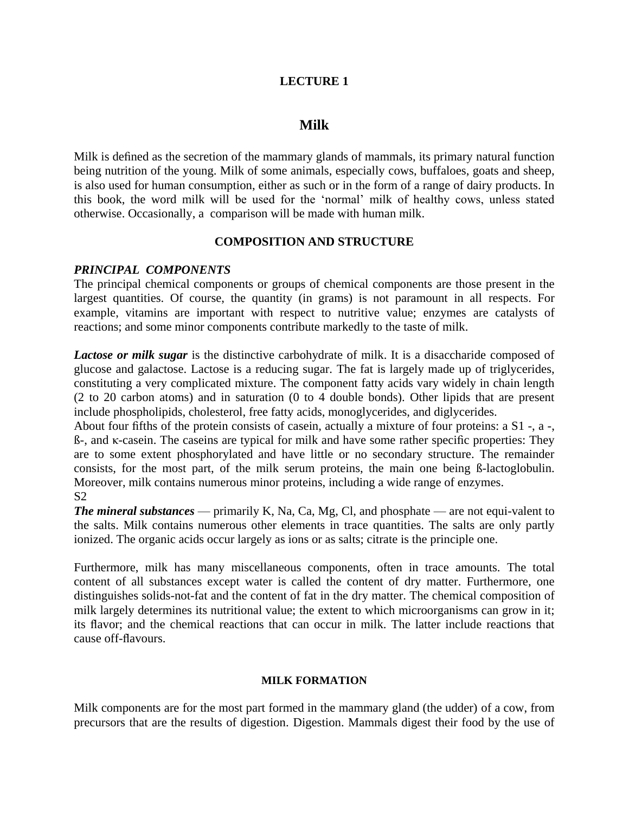### **LECTURE 1**

# **Milk**

Milk is defined as the secretion of the mammary glands of mammals, its primary natural function being nutrition of the young. Milk of some animals, especially cows, buffaloes, goats and sheep, is also used for human consumption, either as such or in the form of a range of dairy products. In this book, the word milk will be used for the 'normal' milk of healthy cows, unless stated otherwise. Occasionally, a comparison will be made with human milk.

### **COMPOSITION AND STRUCTURE**

### *PRINCIPAL COMPONENTS*

The principal chemical components or groups of chemical components are those present in the largest quantities. Of course, the quantity (in grams) is not paramount in all respects. For example, vitamins are important with respect to nutritive value; enzymes are catalysts of reactions; and some minor components contribute markedly to the taste of milk.

*Lactose or milk sugar* is the distinctive carbohydrate of milk. It is a disaccharide composed of glucose and galactose. Lactose is a reducing sugar. The fat is largely made up of triglycerides, constituting a very complicated mixture. The component fatty acids vary widely in chain length (2 to 20 carbon atoms) and in saturation (0 to 4 double bonds). Other lipids that are present include phospholipids, cholesterol, free fatty acids, monoglycerides, and diglycerides.

About four fifths of the protein consists of casein, actually a mixture of four proteins: a S1 -, a -, ß-, and κ-casein. The caseins are typical for milk and have some rather specific properties: They are to some extent phosphorylated and have little or no secondary structure. The remainder consists, for the most part, of the milk serum proteins, the main one being ß-lactoglobulin. Moreover, milk contains numerous minor proteins, including a wide range of enzymes. S2

*The mineral substances* — primarily K, Na, Ca, Mg, Cl, and phosphate — are not equi-valent to the salts. Milk contains numerous other elements in trace quantities. The salts are only partly ionized. The organic acids occur largely as ions or as salts; citrate is the principle one.

Furthermore, milk has many miscellaneous components, often in trace amounts. The total content of all substances except water is called the content of dry matter. Furthermore, one distinguishes solids-not-fat and the content of fat in the dry matter. The chemical composition of milk largely determines its nutritional value; the extent to which microorganisms can grow in it; its flavor; and the chemical reactions that can occur in milk. The latter include reactions that cause off-flavours.

### **MILK FORMATION**

Milk components are for the most part formed in the mammary gland (the udder) of a cow, from precursors that are the results of digestion. Digestion. Mammals digest their food by the use of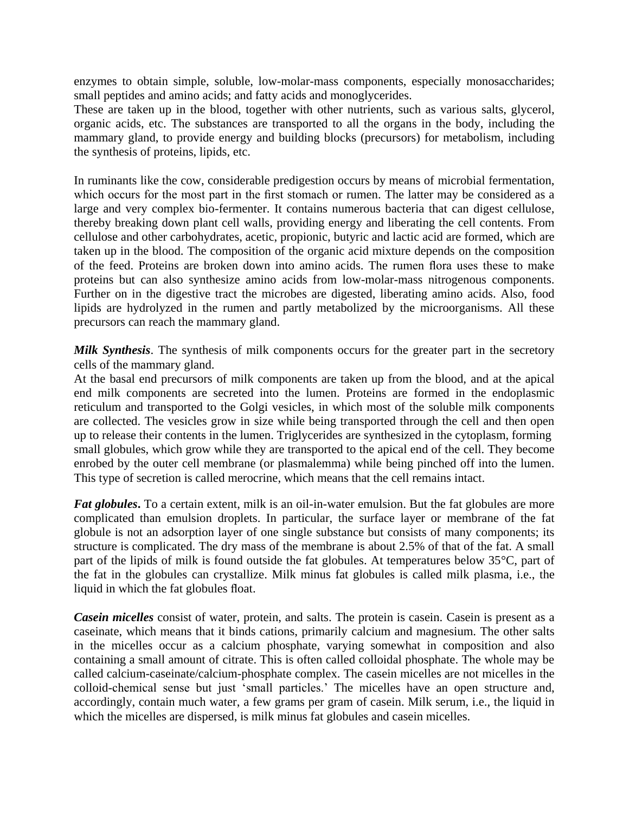enzymes to obtain simple, soluble, low-molar-mass components, especially monosaccharides; small peptides and amino acids; and fatty acids and monoglycerides.

These are taken up in the blood, together with other nutrients, such as various salts, glycerol, organic acids, etc. The substances are transported to all the organs in the body, including the mammary gland, to provide energy and building blocks (precursors) for metabolism, including the synthesis of proteins, lipids, etc.

In ruminants like the cow, considerable predigestion occurs by means of microbial fermentation, which occurs for the most part in the first stomach or rumen. The latter may be considered as a large and very complex bio-fermenter. It contains numerous bacteria that can digest cellulose, thereby breaking down plant cell walls, providing energy and liberating the cell contents. From cellulose and other carbohydrates, acetic, propionic, butyric and lactic acid are formed, which are taken up in the blood. The composition of the organic acid mixture depends on the composition of the feed. Proteins are broken down into amino acids. The rumen flora uses these to make proteins but can also synthesize amino acids from low-molar-mass nitrogenous components. Further on in the digestive tract the microbes are digested, liberating amino acids. Also, food lipids are hydrolyzed in the rumen and partly metabolized by the microorganisms. All these precursors can reach the mammary gland.

*Milk Synthesis*. The synthesis of milk components occurs for the greater part in the secretory cells of the mammary gland.

At the basal end precursors of milk components are taken up from the blood, and at the apical end milk components are secreted into the lumen. Proteins are formed in the endoplasmic reticulum and transported to the Golgi vesicles, in which most of the soluble milk components are collected. The vesicles grow in size while being transported through the cell and then open up to release their contents in the lumen. Triglycerides are synthesized in the cytoplasm, forming small globules, which grow while they are transported to the apical end of the cell. They become enrobed by the outer cell membrane (or plasmalemma) while being pinched off into the lumen. This type of secretion is called merocrine, which means that the cell remains intact.

*Fat globules***.** To a certain extent, milk is an oil-in-water emulsion. But the fat globules are more complicated than emulsion droplets. In particular, the surface layer or membrane of the fat globule is not an adsorption layer of one single substance but consists of many components; its structure is complicated. The dry mass of the membrane is about 2.5% of that of the fat. A small part of the lipids of milk is found outside the fat globules. At temperatures below 35°C, part of the fat in the globules can crystallize. Milk minus fat globules is called milk plasma, i.e., the liquid in which the fat globules float.

*Casein micelles* consist of water, protein, and salts. The protein is casein. Casein is present as a caseinate, which means that it binds cations, primarily calcium and magnesium. The other salts in the micelles occur as a calcium phosphate, varying somewhat in composition and also containing a small amount of citrate. This is often called colloidal phosphate. The whole may be called calcium-caseinate/calcium-phosphate complex. The casein micelles are not micelles in the colloid-chemical sense but just 'small particles.' The micelles have an open structure and, accordingly, contain much water, a few grams per gram of casein. Milk serum, i.e., the liquid in which the micelles are dispersed, is milk minus fat globules and casein micelles.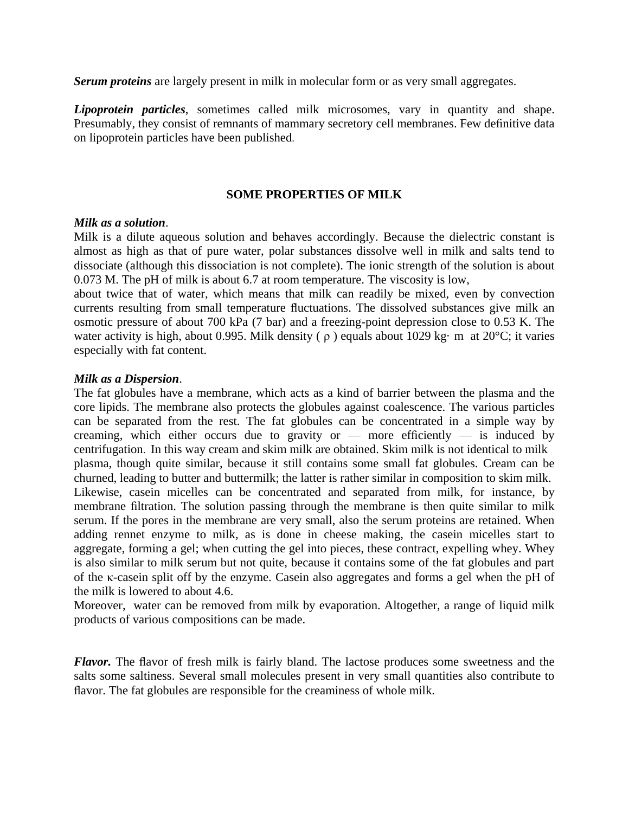*Serum proteins* are largely present in milk in molecular form or as very small aggregates.

*Lipoprotein particles*, sometimes called milk microsomes, vary in quantity and shape. Presumably, they consist of remnants of mammary secretory cell membranes. Few definitive data on lipoprotein particles have been published.

### **SOME PROPERTIES OF MILK**

#### *Milk as a solution*.

Milk is a dilute aqueous solution and behaves accordingly. Because the dielectric constant is almost as high as that of pure water, polar substances dissolve well in milk and salts tend to dissociate (although this dissociation is not complete). The ionic strength of the solution is about 0.073 M. The pH of milk is about 6.7 at room temperature. The viscosity is low,

about twice that of water, which means that milk can readily be mixed, even by convection currents resulting from small temperature fluctuations. The dissolved substances give milk an osmotic pressure of about 700 kPa (7 bar) and a freezing-point depression close to 0.53 K. The water activity is high, about 0.995. Milk density ( $\rho$ ) equals about 1029 kg· m at 20 $^{\circ}$ C; it varies especially with fat content.

### *Milk as a Dispersion*.

The fat globules have a membrane, which acts as a kind of barrier between the plasma and the core lipids. The membrane also protects the globules against coalescence. The various particles can be separated from the rest. The fat globules can be concentrated in a simple way by creaming, which either occurs due to gravity or — more efficiently — is induced by centrifugation. In this way cream and skim milk are obtained. Skim milk is not identical to milk plasma, though quite similar, because it still contains some small fat globules. Cream can be churned, leading to butter and buttermilk; the latter is rather similar in composition to skim milk. Likewise, casein micelles can be concentrated and separated from milk, for instance, by membrane filtration. The solution passing through the membrane is then quite similar to milk serum. If the pores in the membrane are very small, also the serum proteins are retained. When adding rennet enzyme to milk, as is done in cheese making, the casein micelles start to aggregate, forming a gel; when cutting the gel into pieces, these contract, expelling whey. Whey is also similar to milk serum but not quite, because it contains some of the fat globules and part of the κ-casein split off by the enzyme. Casein also aggregates and forms a gel when the pH of the milk is lowered to about 4.6.

Moreover, water can be removed from milk by evaporation. Altogether, a range of liquid milk products of various compositions can be made.

*Flavor.* The flavor of fresh milk is fairly bland. The lactose produces some sweetness and the salts some saltiness. Several small molecules present in very small quantities also contribute to flavor. The fat globules are responsible for the creaminess of whole milk.